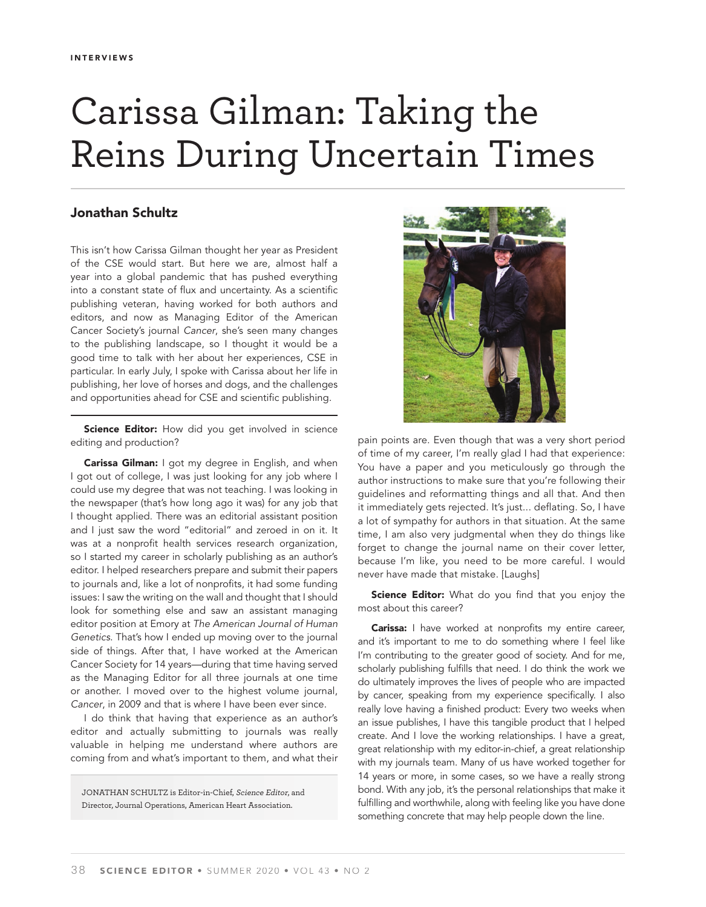## Carissa Gilman: Taking the Reins During Uncertain Times

## Jonathan Schultz

This isn't how Carissa Gilman thought her year as President of the CSE would start. But here we are, almost half a year into a global pandemic that has pushed everything into a constant state of flux and uncertainty. As a scientific publishing veteran, having worked for both authors and editors, and now as Managing Editor of the American Cancer Society's journal *Cancer*, she's seen many changes to the publishing landscape, so I thought it would be a good time to talk with her about her experiences, CSE in particular. In early July, I spoke with Carissa about her life in publishing, her love of horses and dogs, and the challenges and opportunities ahead for CSE and scientific publishing.

Science Editor: How did you get involved in science editing and production?

Carissa Gilman: I got my degree in English, and when I got out of college, I was just looking for any job where I could use my degree that was not teaching. I was looking in the newspaper (that's how long ago it was) for any job that I thought applied. There was an editorial assistant position and I just saw the word "editorial" and zeroed in on it. It was at a nonprofit health services research organization, so I started my career in scholarly publishing as an author's editor. I helped researchers prepare and submit their papers to journals and, like a lot of nonprofits, it had some funding issues: I saw the writing on the wall and thought that I should look for something else and saw an assistant managing editor position at Emory at *The American Journal of Human Genetics*. That's how I ended up moving over to the journal side of things. After that, I have worked at the American Cancer Society for 14 years—during that time having served as the Managing Editor for all three journals at one time or another. I moved over to the highest volume journal, *Cancer*, in 2009 and that is where I have been ever since.

I do think that having that experience as an author's editor and actually submitting to journals was really valuable in helping me understand where authors are coming from and what's important to them, and what their

JONATHAN SCHULTZ is Editor-in-Chief, Science Editor, and Director, Journal Operations, American Heart Association.



pain points are. Even though that was a very short period of time of my career, I'm really glad I had that experience: You have a paper and you meticulously go through the author instructions to make sure that you're following their guidelines and reformatting things and all that. And then it immediately gets rejected. It's just... deflating. So, I have a lot of sympathy for authors in that situation. At the same time, I am also very judgmental when they do things like forget to change the journal name on their cover letter, because I'm like, you need to be more careful. I would never have made that mistake. [Laughs]

Science Editor: What do you find that you enjoy the most about this career?

Carissa: I have worked at nonprofits my entire career, and it's important to me to do something where I feel like I'm contributing to the greater good of society. And for me, scholarly publishing fulfills that need. I do think the work we do ultimately improves the lives of people who are impacted by cancer, speaking from my experience specifically. I also really love having a finished product: Every two weeks when an issue publishes, I have this tangible product that I helped create. And I love the working relationships. I have a great, great relationship with my editor-in-chief, a great relationship with my journals team. Many of us have worked together for 14 years or more, in some cases, so we have a really strong bond. With any job, it's the personal relationships that make it fulfilling and worthwhile, along with feeling like you have done something concrete that may help people down the line.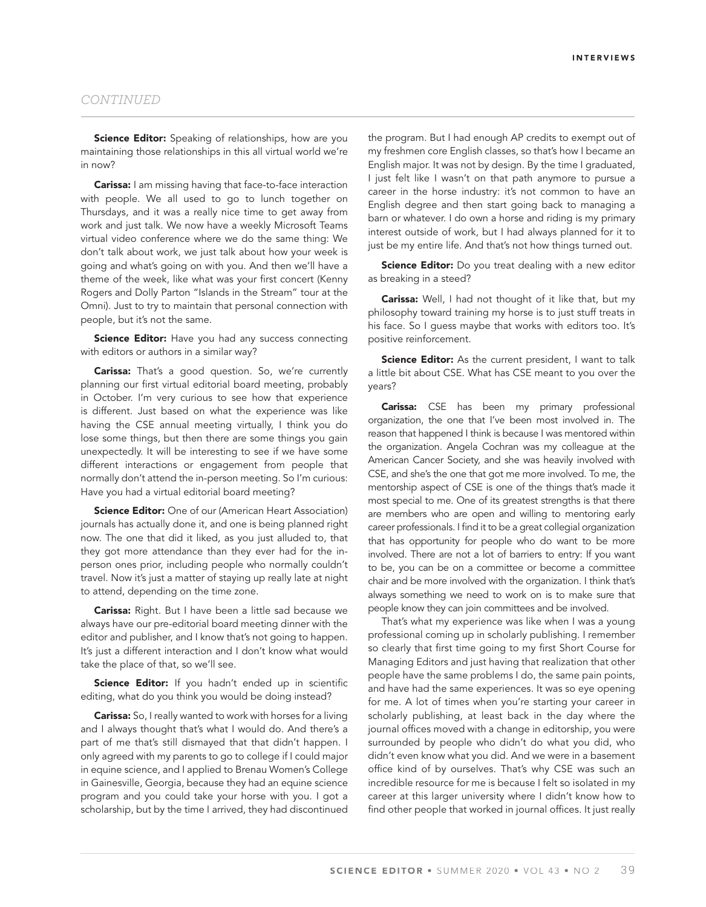Science Editor: Speaking of relationships, how are you maintaining those relationships in this all virtual world we're in now?

**Carissa:** I am missing having that face-to-face interaction with people. We all used to go to lunch together on Thursdays, and it was a really nice time to get away from work and just talk. We now have a weekly Microsoft Teams virtual video conference where we do the same thing: We don't talk about work, we just talk about how your week is going and what's going on with you. And then we'll have a theme of the week, like what was your first concert (Kenny Rogers and Dolly Parton "Islands in the Stream" tour at the Omni). Just to try to maintain that personal connection with people, but it's not the same.

Science Editor: Have you had any success connecting with editors or authors in a similar way?

Carissa: That's a good question. So, we're currently planning our first virtual editorial board meeting, probably in October. I'm very curious to see how that experience is different. Just based on what the experience was like having the CSE annual meeting virtually, I think you do lose some things, but then there are some things you gain unexpectedly. It will be interesting to see if we have some different interactions or engagement from people that normally don't attend the in-person meeting. So I'm curious: Have you had a virtual editorial board meeting?

**Science Editor:** One of our (American Heart Association) journals has actually done it, and one is being planned right now. The one that did it liked, as you just alluded to, that they got more attendance than they ever had for the inperson ones prior, including people who normally couldn't travel. Now it's just a matter of staying up really late at night to attend, depending on the time zone.

Carissa: Right. But I have been a little sad because we always have our pre-editorial board meeting dinner with the editor and publisher, and I know that's not going to happen. It's just a different interaction and I don't know what would take the place of that, so we'll see.

Science Editor: If you hadn't ended up in scientific editing, what do you think you would be doing instead?

Carissa: So, I really wanted to work with horses for a living and I always thought that's what I would do. And there's a part of me that's still dismayed that that didn't happen. I only agreed with my parents to go to college if I could major in equine science, and I applied to Brenau Women's College in Gainesville, Georgia, because they had an equine science program and you could take your horse with you. I got a scholarship, but by the time I arrived, they had discontinued

the program. But I had enough AP credits to exempt out of my freshmen core English classes, so that's how I became an English major. It was not by design. By the time I graduated, I just felt like I wasn't on that path anymore to pursue a career in the horse industry: it's not common to have an English degree and then start going back to managing a barn or whatever. I do own a horse and riding is my primary interest outside of work, but I had always planned for it to just be my entire life. And that's not how things turned out.

Science Editor: Do you treat dealing with a new editor as breaking in a steed?

Carissa: Well, I had not thought of it like that, but my philosophy toward training my horse is to just stuff treats in his face. So I guess maybe that works with editors too. It's positive reinforcement.

**Science Editor:** As the current president, I want to talk a little bit about CSE. What has CSE meant to you over the years?

Carissa: CSE has been my primary professional organization, the one that I've been most involved in. The reason that happened I think is because I was mentored within the organization. Angela Cochran was my colleague at the American Cancer Society, and she was heavily involved with CSE, and she's the one that got me more involved. To me, the mentorship aspect of CSE is one of the things that's made it most special to me. One of its greatest strengths is that there are members who are open and willing to mentoring early career professionals. I find it to be a great collegial organization that has opportunity for people who do want to be more involved. There are not a lot of barriers to entry: If you want to be, you can be on a committee or become a committee chair and be more involved with the organization. I think that's always something we need to work on is to make sure that people know they can join committees and be involved.

That's what my experience was like when I was a young professional coming up in scholarly publishing. I remember so clearly that first time going to my first Short Course for Managing Editors and just having that realization that other people have the same problems I do, the same pain points, and have had the same experiences. It was so eye opening for me. A lot of times when you're starting your career in scholarly publishing, at least back in the day where the journal offices moved with a change in editorship, you were surrounded by people who didn't do what you did, who didn't even know what you did. And we were in a basement office kind of by ourselves. That's why CSE was such an incredible resource for me is because I felt so isolated in my career at this larger university where I didn't know how to find other people that worked in journal offices. It just really